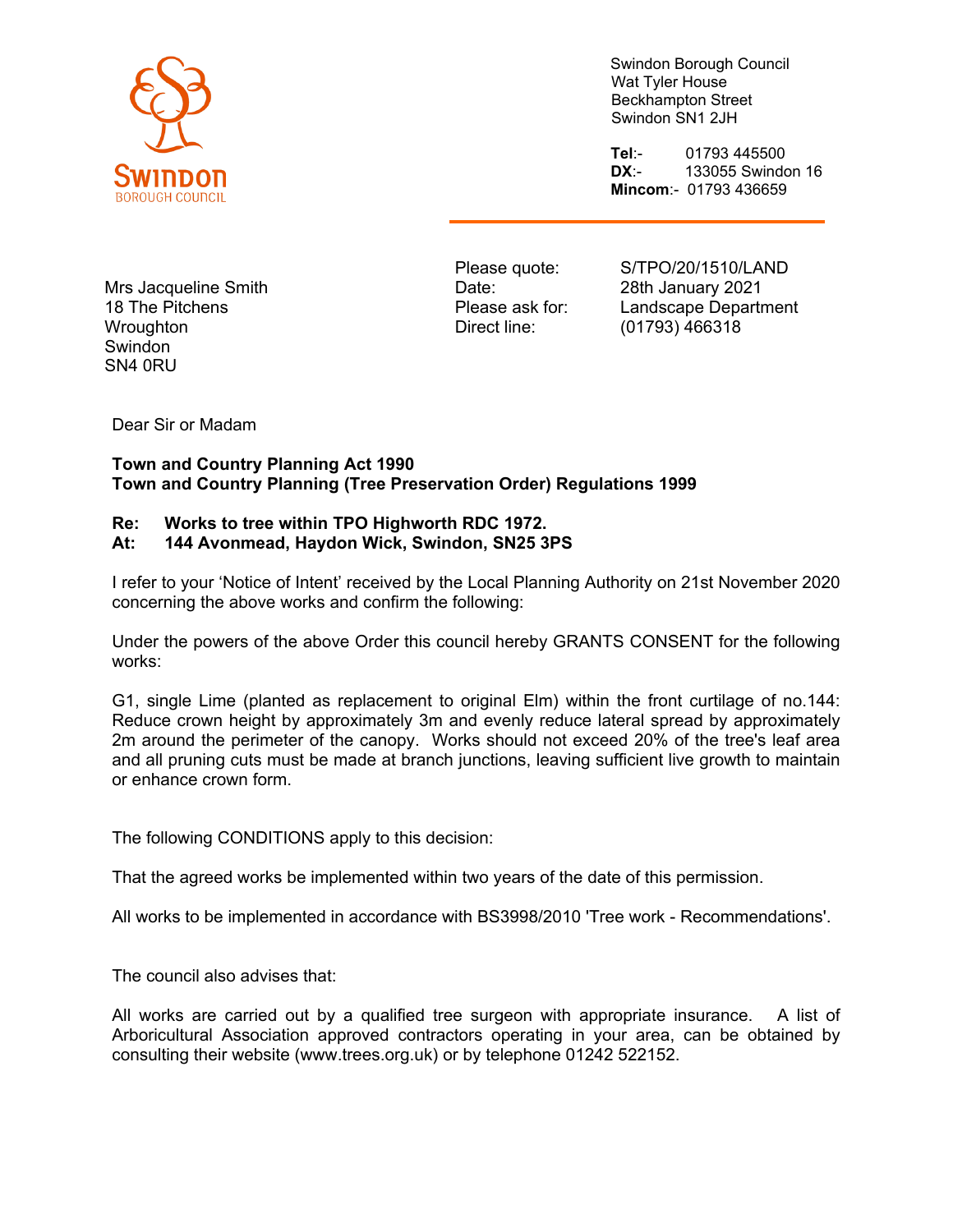

Swindon Borough Council Wat Tyler House Beckhampton Street Swindon SN1 2JH

**Tel**:- 01793 445500 **DX**:- 133055 Swindon 16 **Mincom**:- 01793 436659

Mrs Jacqueline Smith 18 The Pitchens **Wroughton Swindon** SN4 0RU

Please quote: Date: Please ask for: Direct line:

S/TPO/20/1510/LAND 28th January 2021 Landscape Department (01793) 466318

Dear Sir or Madam

## **Town and Country Planning Act 1990 Town and Country Planning (Tree Preservation Order) Regulations 1999**

## **Re: Works to tree within TPO Highworth RDC 1972.**

## **At: 144 Avonmead, Haydon Wick, Swindon, SN25 3PS**

I refer to your 'Notice of Intent' received by the Local Planning Authority on 21st November 2020 concerning the above works and confirm the following:

Under the powers of the above Order this council hereby GRANTS CONSENT for the following works:

G1, single Lime (planted as replacement to original Elm) within the front curtilage of no.144: Reduce crown height by approximately 3m and evenly reduce lateral spread by approximately 2m around the perimeter of the canopy. Works should not exceed 20% of the tree's leaf area and all pruning cuts must be made at branch junctions, leaving sufficient live growth to maintain or enhance crown form.

The following CONDITIONS apply to this decision:

That the agreed works be implemented within two years of the date of this permission.

All works to be implemented in accordance with BS3998/2010 'Tree work - Recommendations'.

The council also advises that:

All works are carried out by a qualified tree surgeon with appropriate insurance. A list of Arboricultural Association approved contractors operating in your area, can be obtained by consulting their website (www.trees.org.uk) or by telephone 01242 522152.